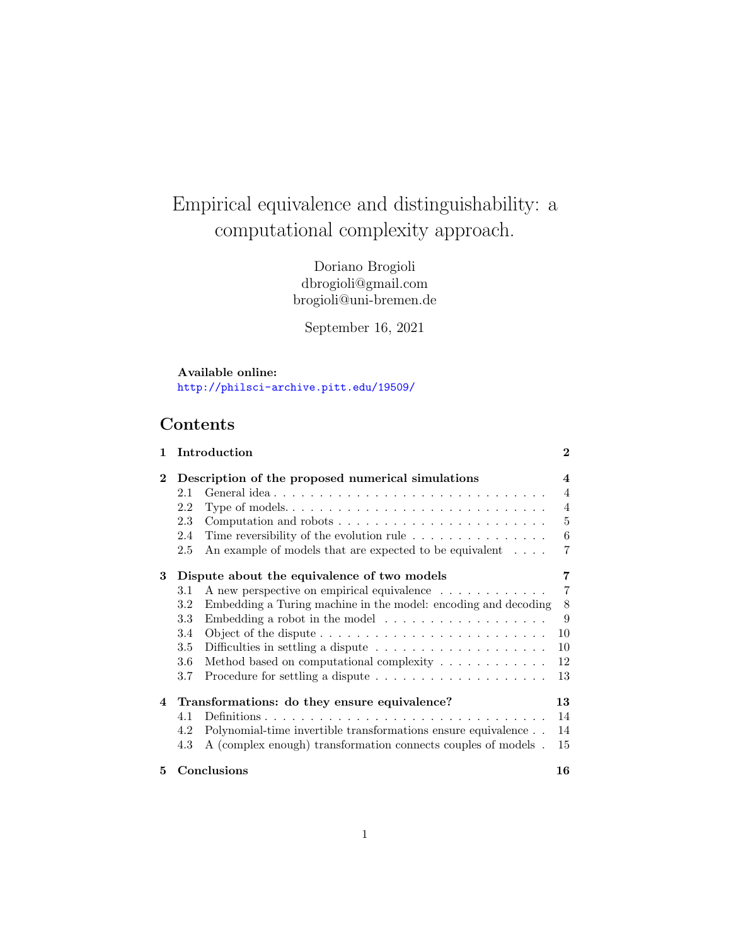# Empirical equivalence and distinguishability: a computational complexity approach.

Doriano Brogioli dbrogioli@gmail.com brogioli@uni-bremen.de

September 16, 2021

#### Available online: [http://philsci-archive.pitt.edu/19509/](http://philsci-archive.pitt.edu/19509/ )

# Contents

| 1        |                   | Introduction                                                                   | $\bf{2}$       |
|----------|-------------------|--------------------------------------------------------------------------------|----------------|
| $\bf{2}$ |                   | Description of the proposed numerical simulations                              | 4              |
|          | 2.1               | General idea                                                                   | $\overline{4}$ |
|          | 2.2               |                                                                                | $\overline{4}$ |
|          | 2.3               | Computation and robots $\dots \dots \dots \dots \dots \dots \dots \dots$       | 5              |
|          | 2.4               | Time reversibility of the evolution rule $\dots \dots \dots \dots \dots$       | 6              |
|          | 2.5               | An example of models that are expected to be equivalent $\dots$ .              | 7              |
| 3        |                   | Dispute about the equivalence of two models                                    | 7              |
|          | 3.1               | A new perspective on empirical equivalence                                     | 7              |
|          | 3.2               | Embedding a Turing machine in the model: encoding and decoding                 | 8              |
|          | 3.3               | Embedding a robot in the model $\ldots \ldots \ldots \ldots \ldots \ldots$     | 9              |
|          | 3.4               |                                                                                | 10             |
|          | 3.5               | Difficulties in settling a dispute $\ldots \ldots \ldots \ldots \ldots \ldots$ | 10             |
|          | 3.6               | Method based on computational complexity $\dots \dots \dots \dots$             | 12             |
|          | 3.7               | Procedure for settling a dispute $\ldots \ldots \ldots \ldots \ldots \ldots$   | 13             |
| 4        |                   | Transformations: do they ensure equivalence?                                   | 13             |
|          | 4.1               |                                                                                | 14             |
|          | 4.2               | Polynomial-time invertible transformations ensure equivalence                  | 14             |
|          | 4.3               | A (complex enough) transformation connects couples of models.                  | 15             |
| 5        | Conclusions<br>16 |                                                                                |                |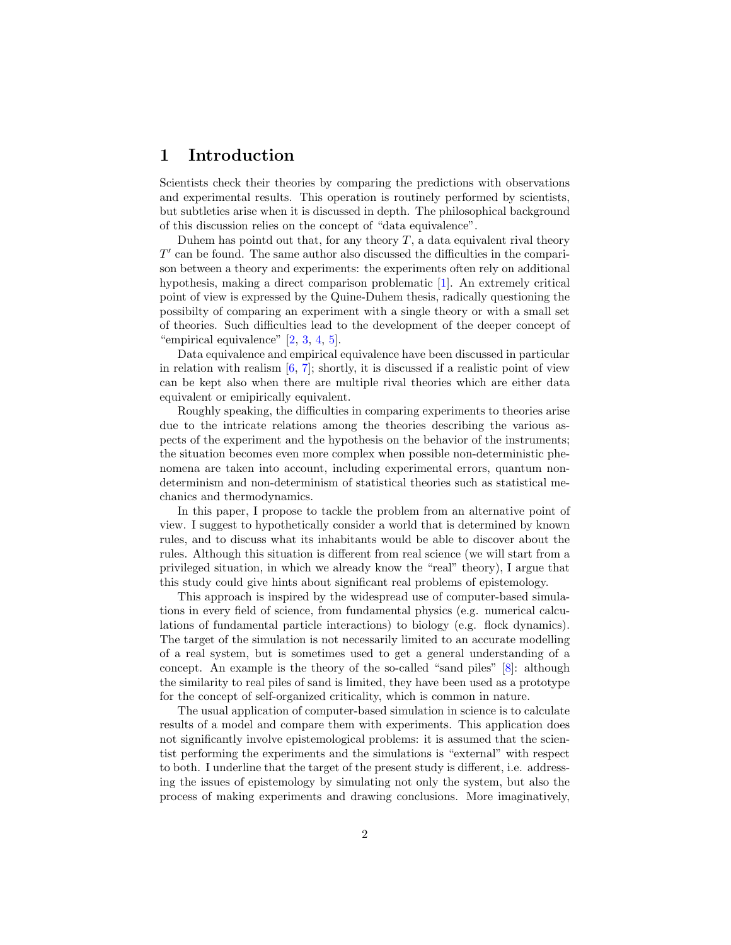## <span id="page-1-0"></span>1 Introduction

Scientists check their theories by comparing the predictions with observations and experimental results. This operation is routinely performed by scientists, but subtleties arise when it is discussed in depth. The philosophical background of this discussion relies on the concept of "data equivalence".

Duhem has pointd out that, for any theory  $T$ , a data equivalent rival theory  $T'$  can be found. The same author also discussed the difficulties in the comparison between a theory and experiments: the experiments often rely on additional hypothesis, making a direct comparison problematic [\[1\]](#page-15-1). An extremely critical point of view is expressed by the Quine-Duhem thesis, radically questioning the possibilty of comparing an experiment with a single theory or with a small set of theories. Such difficulties lead to the development of the deeper concept of "empirical equivalence" [\[2,](#page-15-2) [3,](#page-15-3) [4,](#page-15-4) [5\]](#page-15-5).

Data equivalence and empirical equivalence have been discussed in particular in relation with realism  $[6, 7]$  $[6, 7]$  $[6, 7]$ ; shortly, it is discussed if a realistic point of view can be kept also when there are multiple rival theories which are either data equivalent or emipirically equivalent.

Roughly speaking, the difficulties in comparing experiments to theories arise due to the intricate relations among the theories describing the various aspects of the experiment and the hypothesis on the behavior of the instruments; the situation becomes even more complex when possible non-deterministic phenomena are taken into account, including experimental errors, quantum nondeterminism and non-determinism of statistical theories such as statistical mechanics and thermodynamics.

In this paper, I propose to tackle the problem from an alternative point of view. I suggest to hypothetically consider a world that is determined by known rules, and to discuss what its inhabitants would be able to discover about the rules. Although this situation is different from real science (we will start from a privileged situation, in which we already know the "real" theory), I argue that this study could give hints about significant real problems of epistemology.

This approach is inspired by the widespread use of computer-based simulations in every field of science, from fundamental physics (e.g. numerical calculations of fundamental particle interactions) to biology (e.g. flock dynamics). The target of the simulation is not necessarily limited to an accurate modelling of a real system, but is sometimes used to get a general understanding of a concept. An example is the theory of the so-called "sand piles" [\[8\]](#page-16-1): although the similarity to real piles of sand is limited, they have been used as a prototype for the concept of self-organized criticality, which is common in nature.

The usual application of computer-based simulation in science is to calculate results of a model and compare them with experiments. This application does not significantly involve epistemological problems: it is assumed that the scientist performing the experiments and the simulations is "external" with respect to both. I underline that the target of the present study is different, i.e. addressing the issues of epistemology by simulating not only the system, but also the process of making experiments and drawing conclusions. More imaginatively,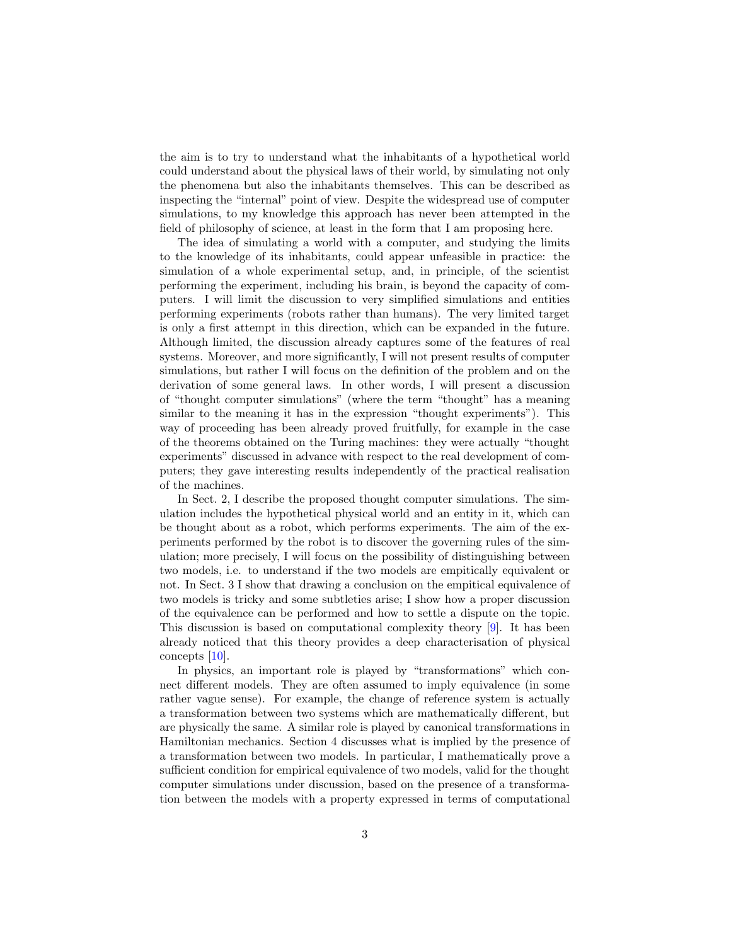the aim is to try to understand what the inhabitants of a hypothetical world could understand about the physical laws of their world, by simulating not only the phenomena but also the inhabitants themselves. This can be described as inspecting the "internal" point of view. Despite the widespread use of computer simulations, to my knowledge this approach has never been attempted in the field of philosophy of science, at least in the form that I am proposing here.

The idea of simulating a world with a computer, and studying the limits to the knowledge of its inhabitants, could appear unfeasible in practice: the simulation of a whole experimental setup, and, in principle, of the scientist performing the experiment, including his brain, is beyond the capacity of computers. I will limit the discussion to very simplified simulations and entities performing experiments (robots rather than humans). The very limited target is only a first attempt in this direction, which can be expanded in the future. Although limited, the discussion already captures some of the features of real systems. Moreover, and more significantly, I will not present results of computer simulations, but rather I will focus on the definition of the problem and on the derivation of some general laws. In other words, I will present a discussion of "thought computer simulations" (where the term "thought" has a meaning similar to the meaning it has in the expression "thought experiments"). This way of proceeding has been already proved fruitfully, for example in the case of the theorems obtained on the Turing machines: they were actually "thought experiments" discussed in advance with respect to the real development of computers; they gave interesting results independently of the practical realisation of the machines.

In Sect. [2,](#page-3-0) I describe the proposed thought computer simulations. The simulation includes the hypothetical physical world and an entity in it, which can be thought about as a robot, which performs experiments. The aim of the experiments performed by the robot is to discover the governing rules of the simulation; more precisely, I will focus on the possibility of distinguishing between two models, i.e. to understand if the two models are empitically equivalent or not. In Sect. [3](#page-6-1) I show that drawing a conclusion on the empitical equivalence of two models is tricky and some subtleties arise; I show how a proper discussion of the equivalence can be performed and how to settle a dispute on the topic. This discussion is based on computational complexity theory [\[9\]](#page-16-2). It has been already noticed that this theory provides a deep characterisation of physical concepts [\[10\]](#page-16-3).

In physics, an important role is played by "transformations" which connect different models. They are often assumed to imply equivalence (in some rather vague sense). For example, the change of reference system is actually a transformation between two systems which are mathematically different, but are physically the same. A similar role is played by canonical transformations in Hamiltonian mechanics. Section [4](#page-12-1) discusses what is implied by the presence of a transformation between two models. In particular, I mathematically prove a sufficient condition for empirical equivalence of two models, valid for the thought computer simulations under discussion, based on the presence of a transformation between the models with a property expressed in terms of computational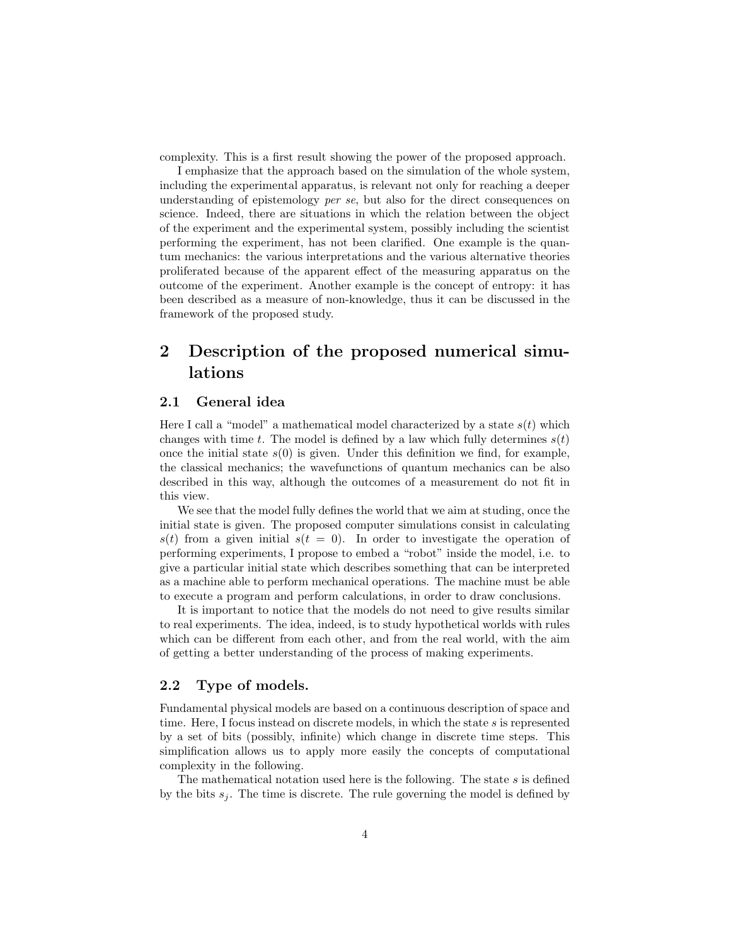complexity. This is a first result showing the power of the proposed approach.

I emphasize that the approach based on the simulation of the whole system, including the experimental apparatus, is relevant not only for reaching a deeper understanding of epistemology per se, but also for the direct consequences on science. Indeed, there are situations in which the relation between the object of the experiment and the experimental system, possibly including the scientist performing the experiment, has not been clarified. One example is the quantum mechanics: the various interpretations and the various alternative theories proliferated because of the apparent effect of the measuring apparatus on the outcome of the experiment. Another example is the concept of entropy: it has been described as a measure of non-knowledge, thus it can be discussed in the framework of the proposed study.

## <span id="page-3-0"></span>2 Description of the proposed numerical simulations

#### <span id="page-3-1"></span>2.1 General idea

Here I call a "model" a mathematical model characterized by a state  $s(t)$  which changes with time t. The model is defined by a law which fully determines  $s(t)$ once the initial state  $s(0)$  is given. Under this definition we find, for example, the classical mechanics; the wavefunctions of quantum mechanics can be also described in this way, although the outcomes of a measurement do not fit in this view.

We see that the model fully defines the world that we aim at studing, once the initial state is given. The proposed computer simulations consist in calculating  $s(t)$  from a given initial  $s(t = 0)$ . In order to investigate the operation of performing experiments, I propose to embed a "robot" inside the model, i.e. to give a particular initial state which describes something that can be interpreted as a machine able to perform mechanical operations. The machine must be able to execute a program and perform calculations, in order to draw conclusions.

It is important to notice that the models do not need to give results similar to real experiments. The idea, indeed, is to study hypothetical worlds with rules which can be different from each other, and from the real world, with the aim of getting a better understanding of the process of making experiments.

#### <span id="page-3-2"></span>2.2 Type of models.

Fundamental physical models are based on a continuous description of space and time. Here, I focus instead on discrete models, in which the state  $s$  is represented by a set of bits (possibly, infinite) which change in discrete time steps. This simplification allows us to apply more easily the concepts of computational complexity in the following.

The mathematical notation used here is the following. The state  $s$  is defined by the bits  $s_i$ . The time is discrete. The rule governing the model is defined by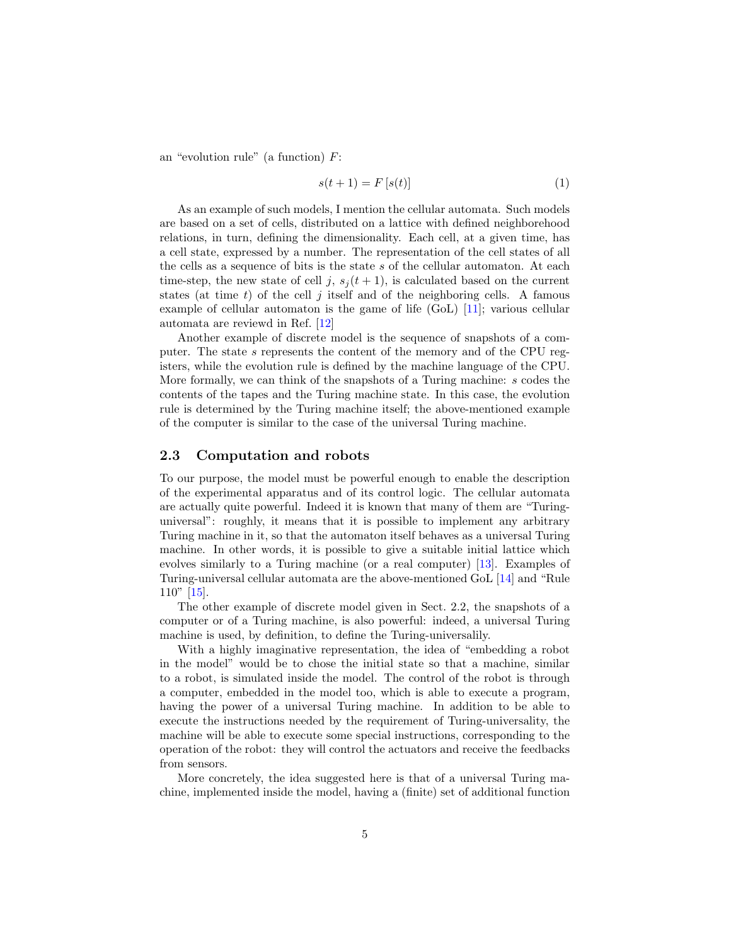an "evolution rule" (a function)  $F$ :

$$
s(t+1) = F[s(t)]\tag{1}
$$

As an example of such models, I mention the cellular automata. Such models are based on a set of cells, distributed on a lattice with defined neighborehood relations, in turn, defining the dimensionality. Each cell, at a given time, has a cell state, expressed by a number. The representation of the cell states of all the cells as a sequence of bits is the state s of the cellular automaton. At each time-step, the new state of cell j,  $s_i (t + 1)$ , is calculated based on the current states (at time  $t$ ) of the cell  $j$  itself and of the neighboring cells. A famous example of cellular automaton is the game of life (GoL) [\[11\]](#page-16-4); various cellular automata are reviewd in Ref. [\[12\]](#page-16-5)

Another example of discrete model is the sequence of snapshots of a computer. The state s represents the content of the memory and of the CPU registers, while the evolution rule is defined by the machine language of the CPU. More formally, we can think of the snapshots of a Turing machine: s codes the contents of the tapes and the Turing machine state. In this case, the evolution rule is determined by the Turing machine itself; the above-mentioned example of the computer is similar to the case of the universal Turing machine.

#### <span id="page-4-0"></span>2.3 Computation and robots

To our purpose, the model must be powerful enough to enable the description of the experimental apparatus and of its control logic. The cellular automata are actually quite powerful. Indeed it is known that many of them are "Turinguniversal": roughly, it means that it is possible to implement any arbitrary Turing machine in it, so that the automaton itself behaves as a universal Turing machine. In other words, it is possible to give a suitable initial lattice which evolves similarly to a Turing machine (or a real computer) [\[13\]](#page-16-6). Examples of Turing-universal cellular automata are the above-mentioned GoL [\[14\]](#page-16-7) and "Rule 110" [\[15\]](#page-16-8).

The other example of discrete model given in Sect. [2.2,](#page-3-2) the snapshots of a computer or of a Turing machine, is also powerful: indeed, a universal Turing machine is used, by definition, to define the Turing-universalily.

With a highly imaginative representation, the idea of "embedding a robot in the model" would be to chose the initial state so that a machine, similar to a robot, is simulated inside the model. The control of the robot is through a computer, embedded in the model too, which is able to execute a program, having the power of a universal Turing machine. In addition to be able to execute the instructions needed by the requirement of Turing-universality, the machine will be able to execute some special instructions, corresponding to the operation of the robot: they will control the actuators and receive the feedbacks from sensors.

More concretely, the idea suggested here is that of a universal Turing machine, implemented inside the model, having a (finite) set of additional function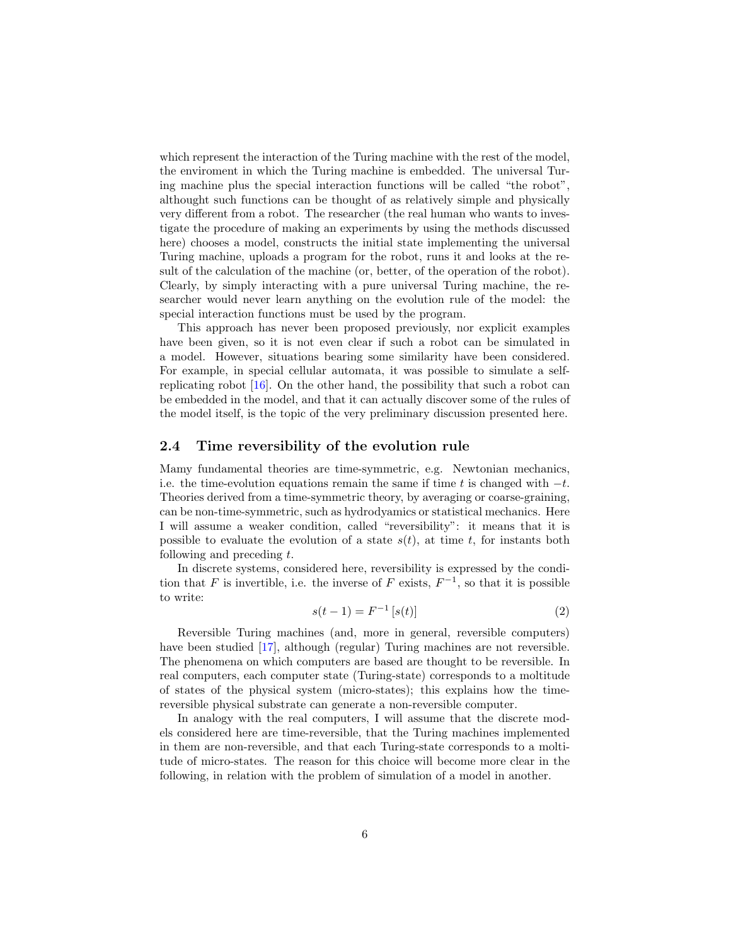which represent the interaction of the Turing machine with the rest of the model, the enviroment in which the Turing machine is embedded. The universal Turing machine plus the special interaction functions will be called "the robot", althought such functions can be thought of as relatively simple and physically very different from a robot. The researcher (the real human who wants to investigate the procedure of making an experiments by using the methods discussed here) chooses a model, constructs the initial state implementing the universal Turing machine, uploads a program for the robot, runs it and looks at the result of the calculation of the machine (or, better, of the operation of the robot). Clearly, by simply interacting with a pure universal Turing machine, the researcher would never learn anything on the evolution rule of the model: the special interaction functions must be used by the program.

This approach has never been proposed previously, nor explicit examples have been given, so it is not even clear if such a robot can be simulated in a model. However, situations bearing some similarity have been considered. For example, in special cellular automata, it was possible to simulate a selfreplicating robot [\[16\]](#page-16-9). On the other hand, the possibility that such a robot can be embedded in the model, and that it can actually discover some of the rules of the model itself, is the topic of the very preliminary discussion presented here.

#### <span id="page-5-0"></span>2.4 Time reversibility of the evolution rule

Mamy fundamental theories are time-symmetric, e.g. Newtonian mechanics, i.e. the time-evolution equations remain the same if time t is changed with  $-t$ . Theories derived from a time-symmetric theory, by averaging or coarse-graining, can be non-time-symmetric, such as hydrodyamics or statistical mechanics. Here I will assume a weaker condition, called "reversibility": it means that it is possible to evaluate the evolution of a state  $s(t)$ , at time t, for instants both following and preceding t.

In discrete systems, considered here, reversibility is expressed by the condition that F is invertible, i.e. the inverse of F exists,  $F^{-1}$ , so that it is possible to write:

$$
s(t-1) = F^{-1}[s(t)]
$$
\n(2)

Reversible Turing machines (and, more in general, reversible computers) have been studied [\[17\]](#page-16-10), although (regular) Turing machines are not reversible. The phenomena on which computers are based are thought to be reversible. In real computers, each computer state (Turing-state) corresponds to a moltitude of states of the physical system (micro-states); this explains how the timereversible physical substrate can generate a non-reversible computer.

In analogy with the real computers, I will assume that the discrete models considered here are time-reversible, that the Turing machines implemented in them are non-reversible, and that each Turing-state corresponds to a moltitude of micro-states. The reason for this choice will become more clear in the following, in relation with the problem of simulation of a model in another.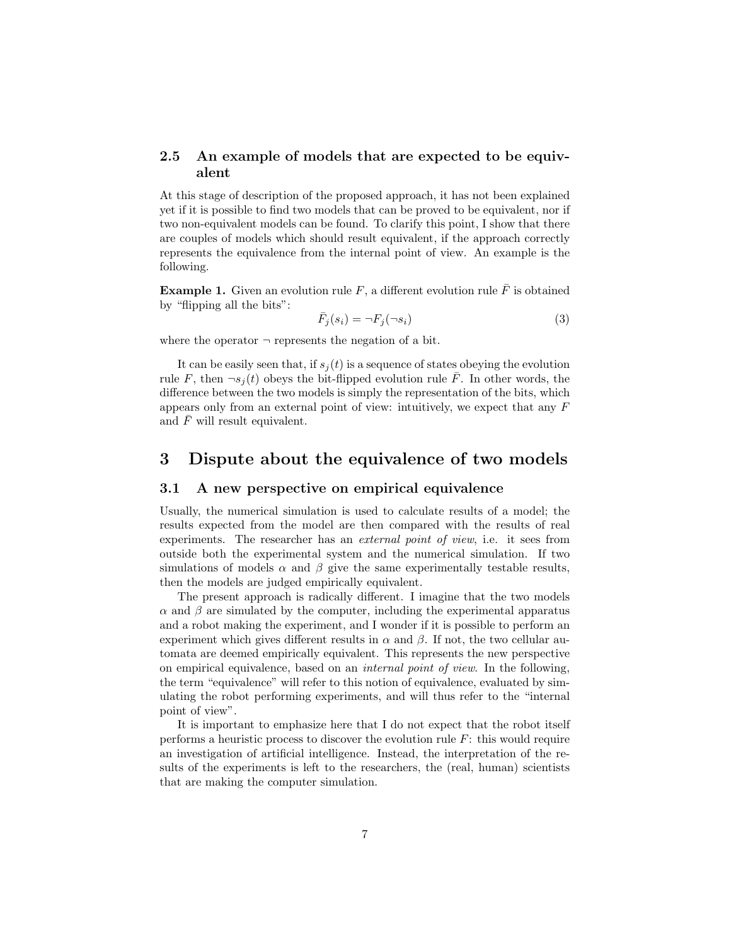#### <span id="page-6-0"></span>2.5 An example of models that are expected to be equivalent

At this stage of description of the proposed approach, it has not been explained yet if it is possible to find two models that can be proved to be equivalent, nor if two non-equivalent models can be found. To clarify this point, I show that there are couples of models which should result equivalent, if the approach correctly represents the equivalence from the internal point of view. An example is the following.

<span id="page-6-3"></span>**Example 1.** Given an evolution rule F, a different evolution rule  $\overline{F}$  is obtained by "flipping all the bits":

$$
\bar{F}_j(s_i) = \neg F_j(\neg s_i) \tag{3}
$$

where the operator  $\neg$  represents the negation of a bit.

It can be easily seen that, if  $s_i(t)$  is a sequence of states obeying the evolution rule F, then  $\neg s_i(t)$  obeys the bit-flipped evolution rule  $\overline{F}$ . In other words, the difference between the two models is simply the representation of the bits, which appears only from an external point of view: intuitively, we expect that any F and  $\bar{F}$  will result equivalent.

## <span id="page-6-1"></span>3 Dispute about the equivalence of two models

#### <span id="page-6-2"></span>3.1 A new perspective on empirical equivalence

Usually, the numerical simulation is used to calculate results of a model; the results expected from the model are then compared with the results of real experiments. The researcher has an *external point of view*, i.e. it sees from outside both the experimental system and the numerical simulation. If two simulations of models  $\alpha$  and  $\beta$  give the same experimentally testable results, then the models are judged empirically equivalent.

The present approach is radically different. I imagine that the two models  $\alpha$  and  $\beta$  are simulated by the computer, including the experimental apparatus and a robot making the experiment, and I wonder if it is possible to perform an experiment which gives different results in  $\alpha$  and  $\beta$ . If not, the two cellular automata are deemed empirically equivalent. This represents the new perspective on empirical equivalence, based on an internal point of view. In the following, the term "equivalence" will refer to this notion of equivalence, evaluated by simulating the robot performing experiments, and will thus refer to the "internal point of view".

It is important to emphasize here that I do not expect that the robot itself performs a heuristic process to discover the evolution rule  $F$ : this would require an investigation of artificial intelligence. Instead, the interpretation of the results of the experiments is left to the researchers, the (real, human) scientists that are making the computer simulation.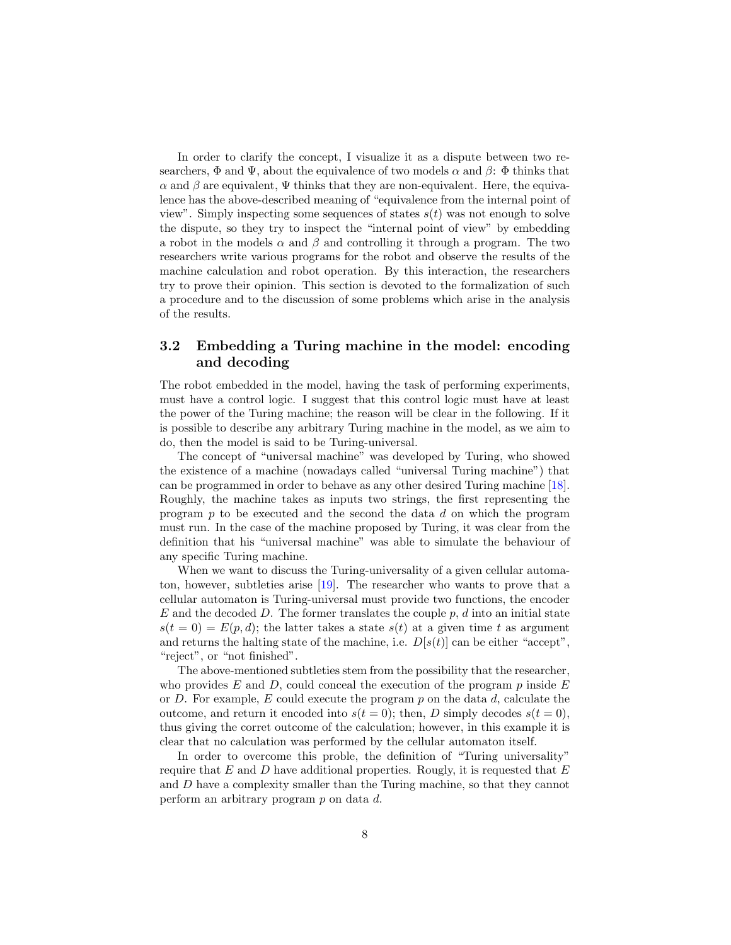In order to clarify the concept, I visualize it as a dispute between two researchers,  $\Phi$  and  $\Psi$ , about the equivalence of two models  $\alpha$  and  $\beta$ :  $\Phi$  thinks that  $\alpha$  and  $\beta$  are equivalent,  $\Psi$  thinks that they are non-equivalent. Here, the equivalence has the above-described meaning of "equivalence from the internal point of view". Simply inspecting some sequences of states  $s(t)$  was not enough to solve the dispute, so they try to inspect the "internal point of view" by embedding a robot in the models  $\alpha$  and  $\beta$  and controlling it through a program. The two researchers write various programs for the robot and observe the results of the machine calculation and robot operation. By this interaction, the researchers try to prove their opinion. This section is devoted to the formalization of such a procedure and to the discussion of some problems which arise in the analysis of the results.

## <span id="page-7-0"></span>3.2 Embedding a Turing machine in the model: encoding and decoding

The robot embedded in the model, having the task of performing experiments, must have a control logic. I suggest that this control logic must have at least the power of the Turing machine; the reason will be clear in the following. If it is possible to describe any arbitrary Turing machine in the model, as we aim to do, then the model is said to be Turing-universal.

The concept of "universal machine" was developed by Turing, who showed the existence of a machine (nowadays called "universal Turing machine") that can be programmed in order to behave as any other desired Turing machine [\[18\]](#page-16-11). Roughly, the machine takes as inputs two strings, the first representing the program  $p$  to be executed and the second the data  $d$  on which the program must run. In the case of the machine proposed by Turing, it was clear from the definition that his "universal machine" was able to simulate the behaviour of any specific Turing machine.

When we want to discuss the Turing-universality of a given cellular automaton, however, subtleties arise [\[19\]](#page-16-12). The researcher who wants to prove that a cellular automaton is Turing-universal must provide two functions, the encoder E and the decoded D. The former translates the couple  $p, d$  into an initial state  $s(t = 0) = E(p, d)$ ; the latter takes a state  $s(t)$  at a given time t as argument and returns the halting state of the machine, i.e.  $D[s(t)]$  can be either "accept", "reject", or "not finished".

The above-mentioned subtleties stem from the possibility that the researcher, who provides  $E$  and  $D$ , could conceal the execution of the program  $p$  inside  $E$ or D. For example, E could execute the program  $p$  on the data  $d$ , calculate the outcome, and return it encoded into  $s(t = 0)$ ; then, D simply decodes  $s(t = 0)$ , thus giving the corret outcome of the calculation; however, in this example it is clear that no calculation was performed by the cellular automaton itself.

In order to overcome this proble, the definition of "Turing universality" require that E and D have additional properties. Rougly, it is requested that  $E$ and D have a complexity smaller than the Turing machine, so that they cannot perform an arbitrary program p on data d.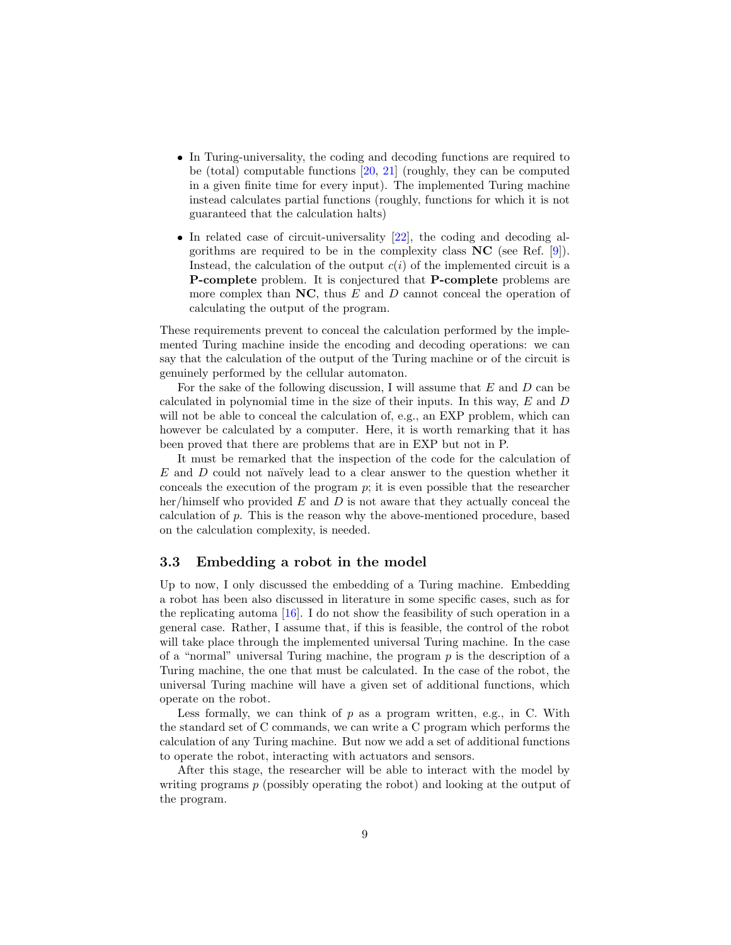- In Turing-universality, the coding and decoding functions are required to be (total) computable functions [\[20,](#page-16-13) [21\]](#page-16-14) (roughly, they can be computed in a given finite time for every input). The implemented Turing machine instead calculates partial functions (roughly, functions for which it is not guaranteed that the calculation halts)
- $\bullet$  In related case of circuit-universality  $[22]$ , the coding and decoding algorithms are required to be in the complexity class  $NC$  (see Ref. [\[9\]](#page-16-2)). Instead, the calculation of the output  $c(i)$  of the implemented circuit is a P-complete problem. It is conjectured that P-complete problems are more complex than  $NC$ , thus  $E$  and  $D$  cannot conceal the operation of calculating the output of the program.

These requirements prevent to conceal the calculation performed by the implemented Turing machine inside the encoding and decoding operations: we can say that the calculation of the output of the Turing machine or of the circuit is genuinely performed by the cellular automaton.

For the sake of the following discussion, I will assume that  $E$  and  $D$  can be calculated in polynomial time in the size of their inputs. In this way, E and D will not be able to conceal the calculation of, e.g., an EXP problem, which can however be calculated by a computer. Here, it is worth remarking that it has been proved that there are problems that are in EXP but not in P.

It must be remarked that the inspection of the code for the calculation of  $E$  and  $D$  could not naïvely lead to a clear answer to the question whether it conceals the execution of the program  $p$ ; it is even possible that the researcher her/himself who provided  $E$  and  $D$  is not aware that they actually conceal the calculation of  $p$ . This is the reason why the above-mentioned procedure, based on the calculation complexity, is needed.

#### <span id="page-8-0"></span>3.3 Embedding a robot in the model

Up to now, I only discussed the embedding of a Turing machine. Embedding a robot has been also discussed in literature in some specific cases, such as for the replicating automa [\[16\]](#page-16-9). I do not show the feasibility of such operation in a general case. Rather, I assume that, if this is feasible, the control of the robot will take place through the implemented universal Turing machine. In the case of a "normal" universal Turing machine, the program  $p$  is the description of a Turing machine, the one that must be calculated. In the case of the robot, the universal Turing machine will have a given set of additional functions, which operate on the robot.

Less formally, we can think of  $p$  as a program written, e.g., in C. With the standard set of C commands, we can write a C program which performs the calculation of any Turing machine. But now we add a set of additional functions to operate the robot, interacting with actuators and sensors.

After this stage, the researcher will be able to interact with the model by writing programs p (possibly operating the robot) and looking at the output of the program.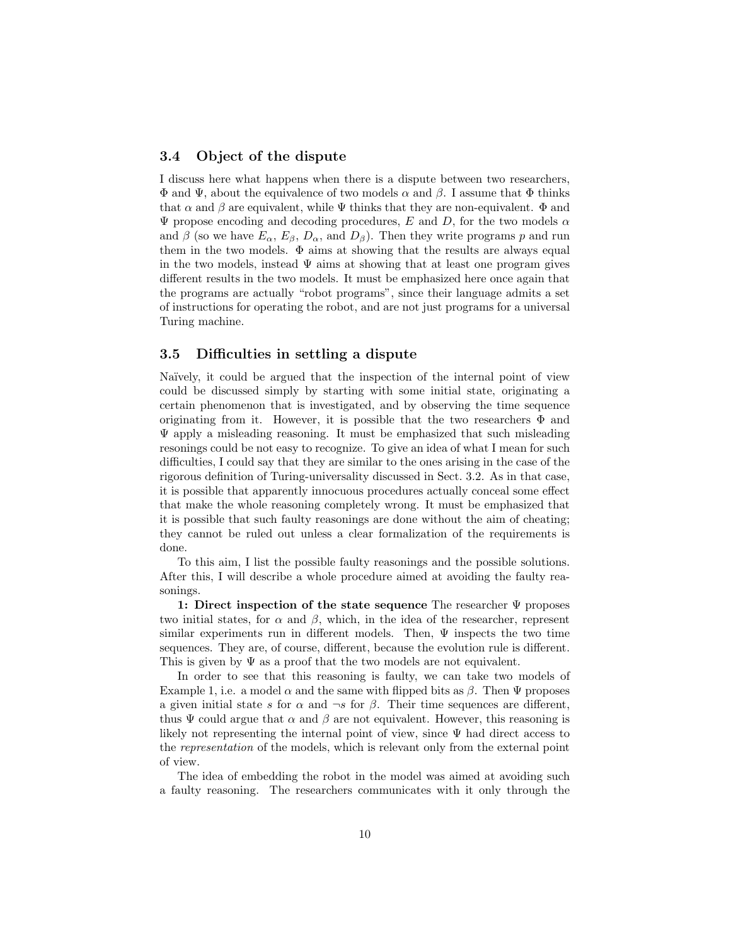#### <span id="page-9-0"></span>3.4 Object of the dispute

I discuss here what happens when there is a dispute between two researchers,  $\Phi$  and  $\Psi$ , about the equivalence of two models  $\alpha$  and  $\beta$ . I assume that  $\Phi$  thinks that  $\alpha$  and  $\beta$  are equivalent, while  $\Psi$  thinks that they are non-equivalent.  $\Phi$  and  $\Psi$  propose encoding and decoding procedures, E and D, for the two models  $\alpha$ and  $\beta$  (so we have  $E_{\alpha}$ ,  $E_{\beta}$ ,  $D_{\alpha}$ , and  $D_{\beta}$ ). Then they write programs p and run them in the two models.  $\Phi$  aims at showing that the results are always equal in the two models, instead  $\Psi$  aims at showing that at least one program gives different results in the two models. It must be emphasized here once again that the programs are actually "robot programs", since their language admits a set of instructions for operating the robot, and are not just programs for a universal Turing machine.

#### <span id="page-9-1"></span>3.5 Difficulties in settling a dispute

Naïvely, it could be argued that the inspection of the internal point of view could be discussed simply by starting with some initial state, originating a certain phenomenon that is investigated, and by observing the time sequence originating from it. However, it is possible that the two researchers  $\Phi$  and Ψ apply a misleading reasoning. It must be emphasized that such misleading resonings could be not easy to recognize. To give an idea of what I mean for such difficulties, I could say that they are similar to the ones arising in the case of the rigorous definition of Turing-universality discussed in Sect. [3.2.](#page-7-0) As in that case, it is possible that apparently innocuous procedures actually conceal some effect that make the whole reasoning completely wrong. It must be emphasized that it is possible that such faulty reasonings are done without the aim of cheating; they cannot be ruled out unless a clear formalization of the requirements is done.

To this aim, I list the possible faulty reasonings and the possible solutions. After this, I will describe a whole procedure aimed at avoiding the faulty reasonings.

1: Direct inspection of the state sequence The researcher  $\Psi$  proposes two initial states, for  $\alpha$  and  $\beta$ , which, in the idea of the researcher, represent similar experiments run in different models. Then,  $\Psi$  inspects the two time sequences. They are, of course, different, because the evolution rule is different. This is given by  $\Psi$  as a proof that the two models are not equivalent.

In order to see that this reasoning is faulty, we can take two models of Example [1,](#page-6-3) i.e. a model  $\alpha$  and the same with flipped bits as  $\beta$ . Then  $\Psi$  proposes a given initial state s for  $\alpha$  and  $\neg s$  for  $\beta$ . Their time sequences are different, thus  $\Psi$  could argue that  $\alpha$  and  $\beta$  are not equivalent. However, this reasoning is likely not representing the internal point of view, since  $\Psi$  had direct access to the representation of the models, which is relevant only from the external point of view.

The idea of embedding the robot in the model was aimed at avoiding such a faulty reasoning. The researchers communicates with it only through the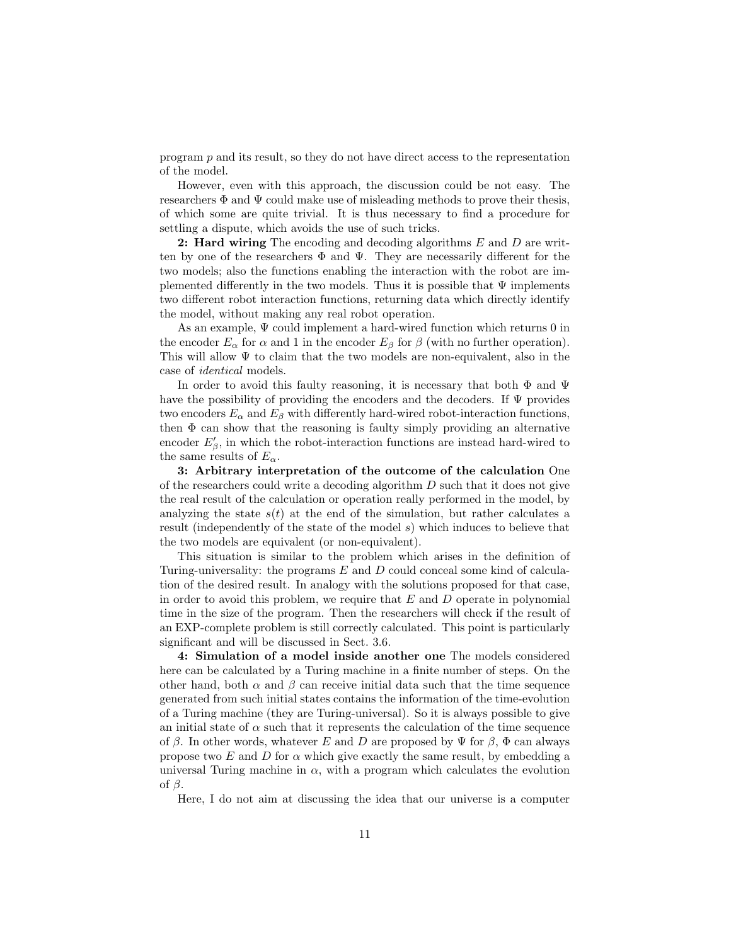program  $p$  and its result, so they do not have direct access to the representation of the model.

However, even with this approach, the discussion could be not easy. The researchers  $\Phi$  and  $\Psi$  could make use of misleading methods to prove their thesis, of which some are quite trivial. It is thus necessary to find a procedure for settling a dispute, which avoids the use of such tricks.

2: Hard wiring The encoding and decoding algorithms  $E$  and  $D$  are written by one of the researchers  $\Phi$  and  $\Psi$ . They are necessarily different for the two models; also the functions enabling the interaction with the robot are implemented differently in the two models. Thus it is possible that  $\Psi$  implements two different robot interaction functions, returning data which directly identify the model, without making any real robot operation.

As an example, Ψ could implement a hard-wired function which returns 0 in the encoder  $E_{\alpha}$  for  $\alpha$  and 1 in the encoder  $E_{\beta}$  for  $\beta$  (with no further operation). This will allow  $\Psi$  to claim that the two models are non-equivalent, also in the case of identical models.

In order to avoid this faulty reasoning, it is necessary that both  $\Phi$  and  $\Psi$ have the possibility of providing the encoders and the decoders. If  $\Psi$  provides two encoders  $E_{\alpha}$  and  $E_{\beta}$  with differently hard-wired robot-interaction functions, then  $\Phi$  can show that the reasoning is faulty simply providing an alternative encoder  $E'_{\beta}$ , in which the robot-interaction functions are instead hard-wired to the same results of  $E_{\alpha}$ .

3: Arbitrary interpretation of the outcome of the calculation One of the researchers could write a decoding algorithm  $D$  such that it does not give the real result of the calculation or operation really performed in the model, by analyzing the state  $s(t)$  at the end of the simulation, but rather calculates a result (independently of the state of the model s) which induces to believe that the two models are equivalent (or non-equivalent).

This situation is similar to the problem which arises in the definition of Turing-universality: the programs E and D could conceal some kind of calculation of the desired result. In analogy with the solutions proposed for that case, in order to avoid this problem, we require that  $E$  and  $D$  operate in polynomial time in the size of the program. Then the researchers will check if the result of an EXP-complete problem is still correctly calculated. This point is particularly significant and will be discussed in Sect. [3.6.](#page-11-0)

4: Simulation of a model inside another one The models considered here can be calculated by a Turing machine in a finite number of steps. On the other hand, both  $\alpha$  and  $\beta$  can receive initial data such that the time sequence generated from such initial states contains the information of the time-evolution of a Turing machine (they are Turing-universal). So it is always possible to give an initial state of  $\alpha$  such that it represents the calculation of the time sequence of  $\beta$ . In other words, whatever E and D are proposed by  $\Psi$  for  $\beta$ ,  $\Phi$  can always propose two E and D for  $\alpha$  which give exactly the same result, by embedding a universal Turing machine in  $\alpha$ , with a program which calculates the evolution of β.

Here, I do not aim at discussing the idea that our universe is a computer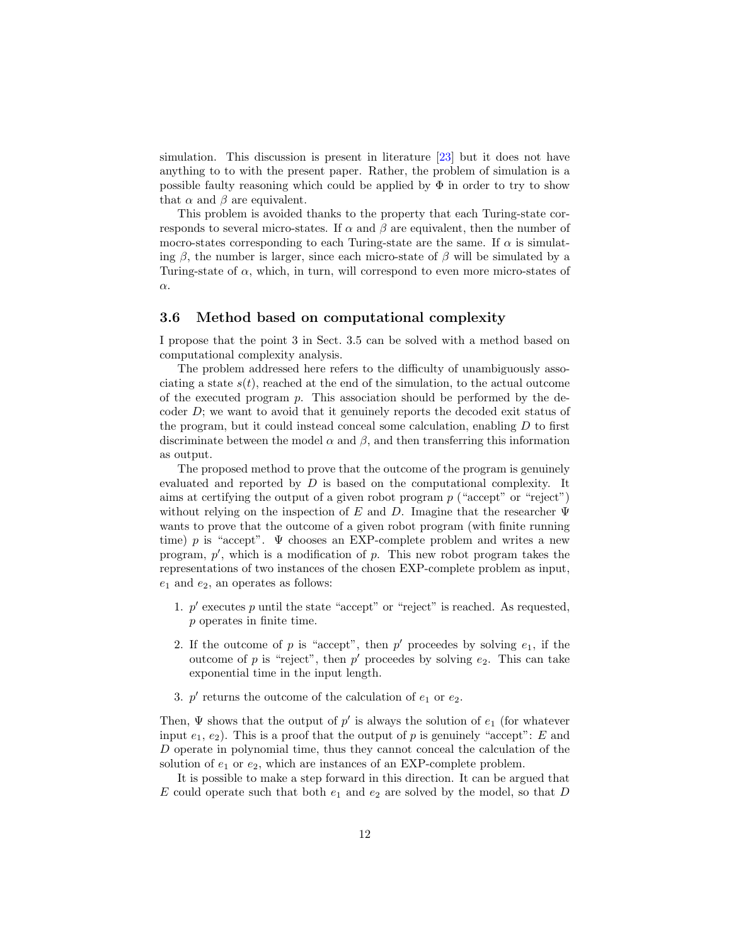simulation. This discussion is present in literature [\[23\]](#page-17-0) but it does not have anything to to with the present paper. Rather, the problem of simulation is a possible faulty reasoning which could be applied by  $\Phi$  in order to try to show that  $\alpha$  and  $\beta$  are equivalent.

This problem is avoided thanks to the property that each Turing-state corresponds to several micro-states. If  $\alpha$  and  $\beta$  are equivalent, then the number of mocro-states corresponding to each Turing-state are the same. If  $\alpha$  is simulating  $\beta$ , the number is larger, since each micro-state of  $\beta$  will be simulated by a Turing-state of  $\alpha$ , which, in turn, will correspond to even more micro-states of α.

#### <span id="page-11-0"></span>3.6 Method based on computational complexity

I propose that the point 3 in Sect. [3.5](#page-9-1) can be solved with a method based on computational complexity analysis.

The problem addressed here refers to the difficulty of unambiguously associating a state  $s(t)$ , reached at the end of the simulation, to the actual outcome of the executed program  $p$ . This association should be performed by the decoder  $D$ ; we want to avoid that it genuinely reports the decoded exit status of the program, but it could instead conceal some calculation, enabling  $D$  to first discriminate between the model  $\alpha$  and  $\beta$ , and then transferring this information as output.

The proposed method to prove that the outcome of the program is genuinely evaluated and reported by D is based on the computational complexity. It aims at certifying the output of a given robot program  $p$  ("accept" or "reject") without relying on the inspection of E and D. Imagine that the researcher  $\Psi$ wants to prove that the outcome of a given robot program (with finite running time) p is "accept".  $\Psi$  chooses an EXP-complete problem and writes a new program,  $p'$ , which is a modification of  $p$ . This new robot program takes the representations of two instances of the chosen EXP-complete problem as input,  $e_1$  and  $e_2$ , an operates as follows:

- 1.  $p'$  executes p until the state "accept" or "reject" is reached. As requested, p operates in finite time.
- 2. If the outcome of p is "accept", then  $p'$  proceedes by solving  $e_1$ , if the outcome of p is "reject", then  $p'$  proceedes by solving  $e_2$ . This can take exponential time in the input length.
- 3.  $p'$  returns the outcome of the calculation of  $e_1$  or  $e_2$ .

Then,  $\Psi$  shows that the output of  $p'$  is always the solution of  $e_1$  (for whatever input  $e_1, e_2$ ). This is a proof that the output of p is genuinely "accept": E and D operate in polynomial time, thus they cannot conceal the calculation of the solution of  $e_1$  or  $e_2$ , which are instances of an EXP-complete problem.

It is possible to make a step forward in this direction. It can be argued that E could operate such that both  $e_1$  and  $e_2$  are solved by the model, so that D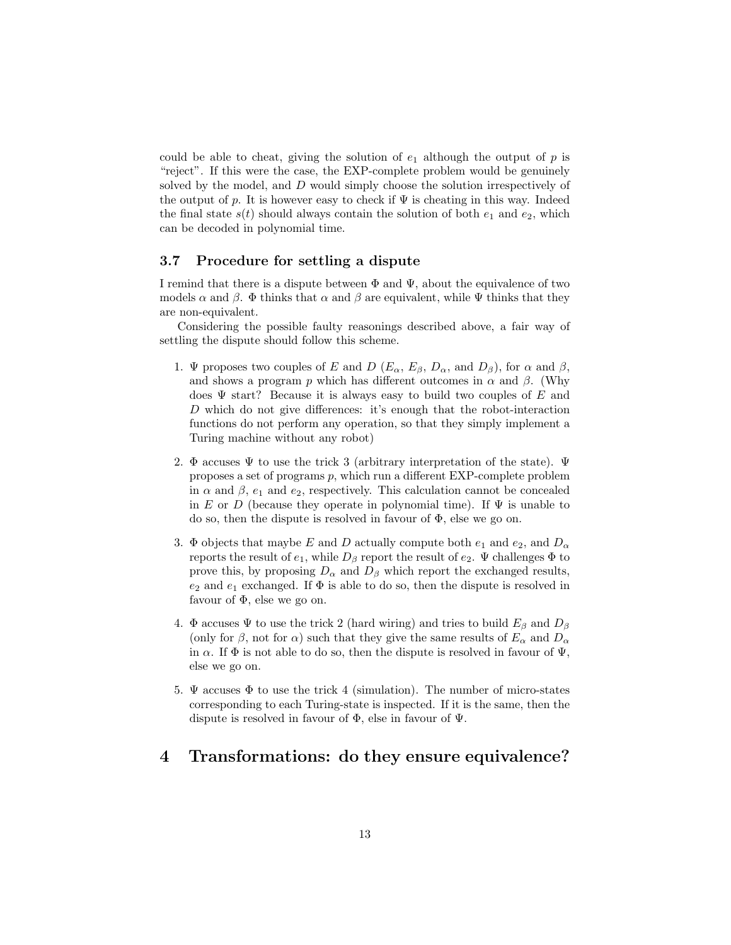could be able to cheat, giving the solution of  $e_1$  although the output of  $p$  is "reject". If this were the case, the EXP-complete problem would be genuinely solved by the model, and D would simply choose the solution irrespectively of the output of p. It is however easy to check if  $\Psi$  is cheating in this way. Indeed the final state  $s(t)$  should always contain the solution of both  $e_1$  and  $e_2$ , which can be decoded in polynomial time.

#### <span id="page-12-0"></span>3.7 Procedure for settling a dispute

I remind that there is a dispute between  $\Phi$  and  $\Psi$ , about the equivalence of two models  $\alpha$  and  $\beta$ .  $\Phi$  thinks that  $\alpha$  and  $\beta$  are equivalent, while  $\Psi$  thinks that they are non-equivalent.

Considering the possible faulty reasonings described above, a fair way of settling the dispute should follow this scheme.

- 1. Ψ proposes two couples of E and D ( $E_{\alpha}$ ,  $E_{\beta}$ ,  $D_{\alpha}$ , and  $D_{\beta}$ ), for  $\alpha$  and  $\beta$ , and shows a program p which has different outcomes in  $\alpha$  and  $\beta$ . (Why does  $\Psi$  start? Because it is always easy to build two couples of E and D which do not give differences: it's enough that the robot-interaction functions do not perform any operation, so that they simply implement a Turing machine without any robot)
- <span id="page-12-3"></span>2. Φ accuses  $\Psi$  to use the trick 3 (arbitrary interpretation of the state).  $\Psi$ proposes a set of programs p, which run a different EXP-complete problem in  $\alpha$  and  $\beta$ ,  $e_1$  and  $e_2$ , respectively. This calculation cannot be concealed in E or D (because they operate in polynomial time). If  $\Psi$  is unable to do so, then the dispute is resolved in favour of Φ, else we go on.
- 3. Φ objects that maybe E and D actually compute both  $e_1$  and  $e_2$ , and  $D_{\alpha}$ reports the result of  $e_1$ , while  $D_\beta$  report the result of  $e_2$ .  $\Psi$  challenges  $\Phi$  to prove this, by proposing  $D_{\alpha}$  and  $D_{\beta}$  which report the exchanged results,  $e_2$  and  $e_1$  exchanged. If  $\Phi$  is able to do so, then the dispute is resolved in favour of  $\Phi$ , else we go on.
- 4. Φ accuses Ψ to use the trick 2 (hard wiring) and tries to build  $E_\beta$  and  $D_\beta$ (only for  $\beta$ , not for  $\alpha$ ) such that they give the same results of  $E_{\alpha}$  and  $D_{\alpha}$ in  $\alpha$ . If  $\Phi$  is not able to do so, then the dispute is resolved in favour of  $\Psi$ , else we go on.
- 5.  $\Psi$  accuses  $\Phi$  to use the trick 4 (simulation). The number of micro-states corresponding to each Turing-state is inspected. If it is the same, then the dispute is resolved in favour of Φ, else in favour of Ψ.

## <span id="page-12-2"></span><span id="page-12-1"></span>4 Transformations: do they ensure equivalence?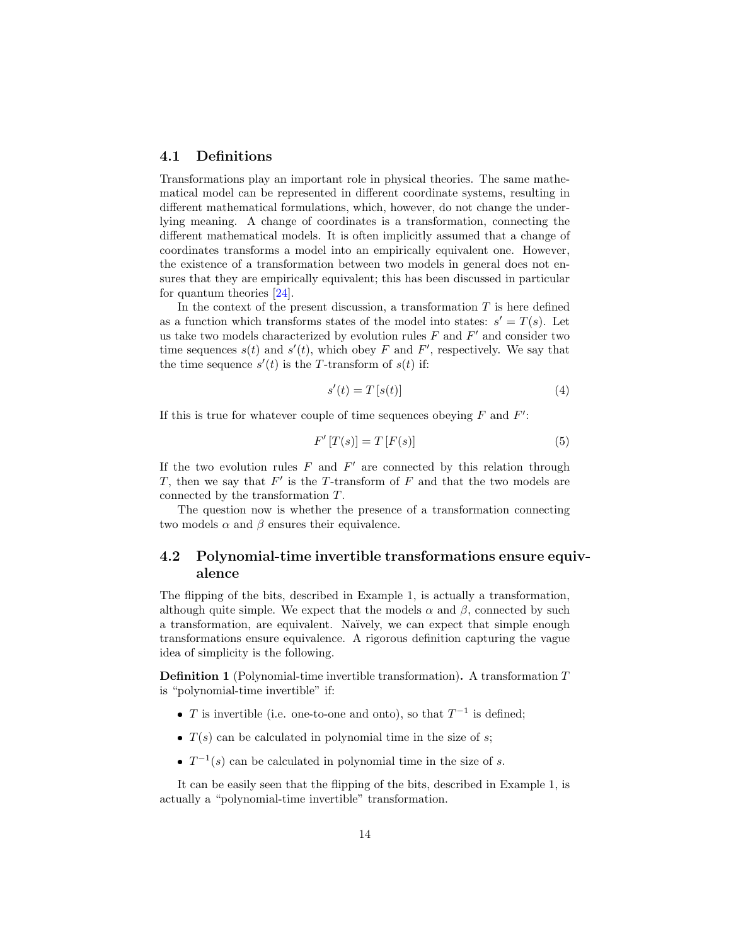#### 4.1 Definitions

Transformations play an important role in physical theories. The same mathematical model can be represented in different coordinate systems, resulting in different mathematical formulations, which, however, do not change the underlying meaning. A change of coordinates is a transformation, connecting the different mathematical models. It is often implicitly assumed that a change of coordinates transforms a model into an empirically equivalent one. However, the existence of a transformation between two models in general does not ensures that they are empirically equivalent; this has been discussed in particular for quantum theories [\[24\]](#page-17-1).

In the context of the present discussion, a transformation  $T$  is here defined as a function which transforms states of the model into states:  $s' = T(s)$ . Let us take two models characterized by evolution rules  $F$  and  $F'$  and consider two time sequences  $s(t)$  and  $s'(t)$ , which obey F and F', respectively. We say that the time sequence  $s'(t)$  is the T-transform of  $s(t)$  if:

$$
s'(t) = T\left[s(t)\right] \tag{4}
$$

If this is true for whatever couple of time sequences obeying  $F$  and  $F'$ :

$$
F'[T(s)] = T[F(s)] \tag{5}
$$

If the two evolution rules  $F$  and  $F'$  are connected by this relation through T, then we say that  $F'$  is the T-transform of  $F$  and that the two models are connected by the transformation T.

The question now is whether the presence of a transformation connecting two models  $\alpha$  and  $\beta$  ensures their equivalence.

## <span id="page-13-0"></span>4.2 Polynomial-time invertible transformations ensure equivalence

The flipping of the bits, described in Example [1,](#page-6-3) is actually a transformation, although quite simple. We expect that the models  $\alpha$  and  $\beta$ , connected by such a transformation, are equivalent. Naïvely, we can expect that simple enough transformations ensure equivalence. A rigorous definition capturing the vague idea of simplicity is the following.

Definition 1 (Polynomial-time invertible transformation). A transformation T is "polynomial-time invertible" if:

- T is invertible (i.e. one-to-one and onto), so that  $T^{-1}$  is defined;
- $\bullet$   $T(s)$  can be calculated in polynomial time in the size of s;
- $T^{-1}(s)$  can be calculated in polynomial time in the size of s.

It can be easily seen that the flipping of the bits, described in Example [1,](#page-6-3) is actually a "polynomial-time invertible" transformation.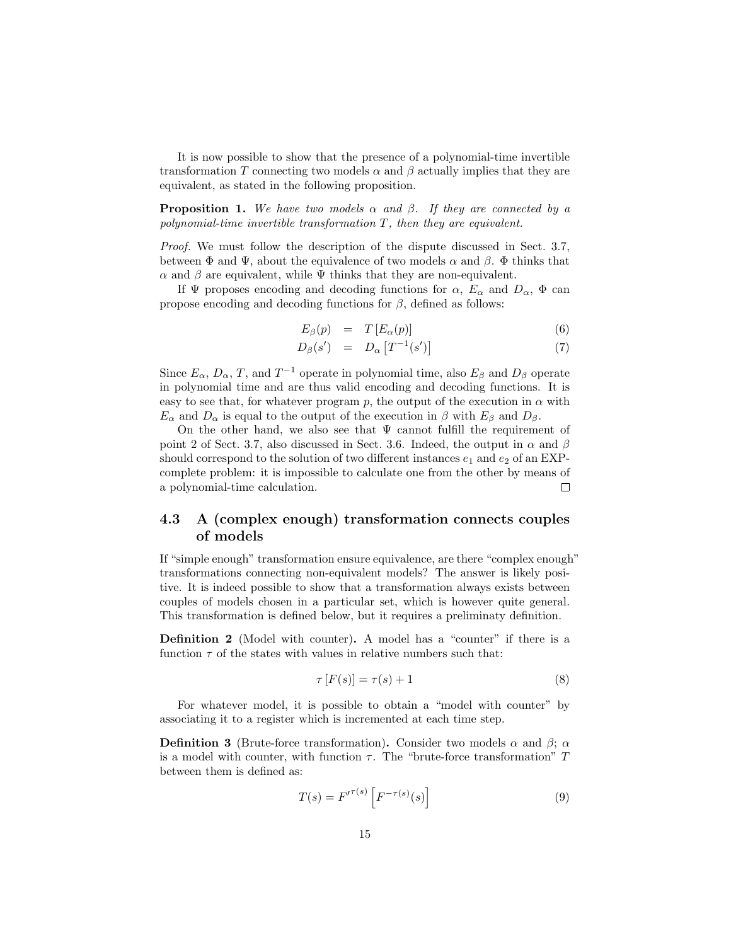It is now possible to show that the presence of a polynomial-time invertible transformation T connecting two models  $\alpha$  and  $\beta$  actually implies that they are equivalent, as stated in the following proposition.

**Proposition 1.** We have two models  $\alpha$  and  $\beta$ . If they are connected by a polynomial-time invertible transformation  $T$ , then they are equivalent.

Proof. We must follow the description of the dispute discussed in Sect. [3.7,](#page-12-0) between  $\Phi$  and  $\Psi$ , about the equivalence of two models  $\alpha$  and  $\beta$ .  $\Phi$  thinks that  $\alpha$  and  $\beta$  are equivalent, while  $\Psi$  thinks that they are non-equivalent.

If  $\Psi$  proposes encoding and decoding functions for  $\alpha$ ,  $E_{\alpha}$  and  $D_{\alpha}$ ,  $\Phi$  can propose encoding and decoding functions for  $\beta$ , defined as follows:

$$
E_{\beta}(p) = T \left[ E_{\alpha}(p) \right] \tag{6}
$$

$$
D_{\beta}(s') = D_{\alpha} [T^{-1}(s')] \tag{7}
$$

Since  $E_{\alpha}$ ,  $D_{\alpha}$ , T, and  $T^{-1}$  operate in polynomial time, also  $E_{\beta}$  and  $D_{\beta}$  operate in polynomial time and are thus valid encoding and decoding functions. It is easy to see that, for whatever program p, the output of the execution in  $\alpha$  with  $E_{\alpha}$  and  $D_{\alpha}$  is equal to the output of the execution in  $\beta$  with  $E_{\beta}$  and  $D_{\beta}$ .

On the other hand, we also see that  $\Psi$  cannot fulfill the requirement of point [2](#page-12-3) of Sect. [3.7,](#page-12-0) also discussed in Sect. [3.6.](#page-11-0) Indeed, the output in  $\alpha$  and  $\beta$ should correspond to the solution of two different instances  $e_1$  and  $e_2$  of an EXPcomplete problem: it is impossible to calculate one from the other by means of a polynomial-time calculation.  $\Box$ 

## <span id="page-14-0"></span>4.3 A (complex enough) transformation connects couples of models

If "simple enough" transformation ensure equivalence, are there "complex enough" transformations connecting non-equivalent models? The answer is likely positive. It is indeed possible to show that a transformation always exists between couples of models chosen in a particular set, which is however quite general. This transformation is defined below, but it requires a preliminaty definition.

Definition 2 (Model with counter). A model has a "counter" if there is a function  $\tau$  of the states with values in relative numbers such that:

$$
\tau[F(s)] = \tau(s) + 1\tag{8}
$$

For whatever model, it is possible to obtain a "model with counter" by associating it to a register which is incremented at each time step.

**Definition 3** (Brute-force transformation). Consider two models  $\alpha$  and  $\beta$ ;  $\alpha$ is a model with counter, with function  $\tau$ . The "brute-force transformation" T between them is defined as:

$$
T(s) = F'^{\tau(s)} \left[ F^{-\tau(s)}(s) \right] \tag{9}
$$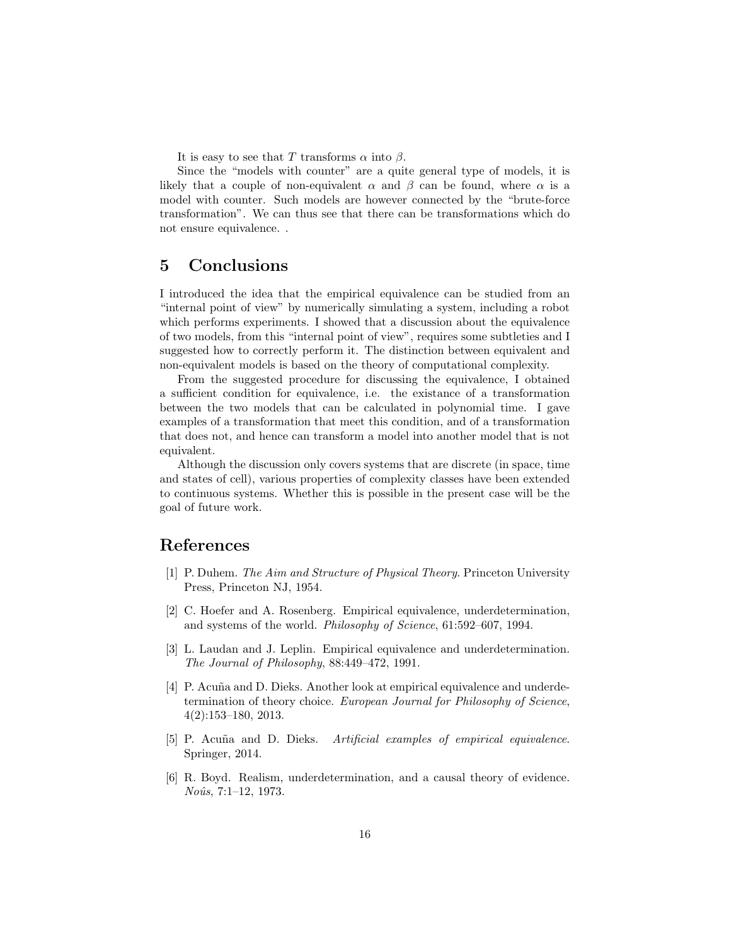It is easy to see that T transforms  $\alpha$  into  $\beta$ .

Since the "models with counter" are a quite general type of models, it is likely that a couple of non-equivalent  $\alpha$  and  $\beta$  can be found, where  $\alpha$  is a model with counter. Such models are however connected by the "brute-force transformation". We can thus see that there can be transformations which do not ensure equivalence. .

## <span id="page-15-0"></span>5 Conclusions

I introduced the idea that the empirical equivalence can be studied from an "internal point of view" by numerically simulating a system, including a robot which performs experiments. I showed that a discussion about the equivalence of two models, from this "internal point of view", requires some subtleties and I suggested how to correctly perform it. The distinction between equivalent and non-equivalent models is based on the theory of computational complexity.

From the suggested procedure for discussing the equivalence, I obtained a sufficient condition for equivalence, i.e. the existance of a transformation between the two models that can be calculated in polynomial time. I gave examples of a transformation that meet this condition, and of a transformation that does not, and hence can transform a model into another model that is not equivalent.

Although the discussion only covers systems that are discrete (in space, time and states of cell), various properties of complexity classes have been extended to continuous systems. Whether this is possible in the present case will be the goal of future work.

## References

- <span id="page-15-1"></span>[1] P. Duhem. The Aim and Structure of Physical Theory. Princeton University Press, Princeton NJ, 1954.
- <span id="page-15-2"></span>[2] C. Hoefer and A. Rosenberg. Empirical equivalence, underdetermination, and systems of the world. Philosophy of Science, 61:592–607, 1994.
- <span id="page-15-3"></span>[3] L. Laudan and J. Leplin. Empirical equivalence and underdetermination. The Journal of Philosophy, 88:449–472, 1991.
- <span id="page-15-4"></span>[4] P. Acuña and D. Dieks. Another look at empirical equivalence and underdetermination of theory choice. European Journal for Philosophy of Science, 4(2):153–180, 2013.
- <span id="page-15-5"></span>[5] P. Acuña and D. Dieks. Artificial examples of empirical equivalence. Springer, 2014.
- <span id="page-15-6"></span>[6] R. Boyd. Realism, underdetermination, and a causal theory of evidence. Noûs, 7:1-12, 1973.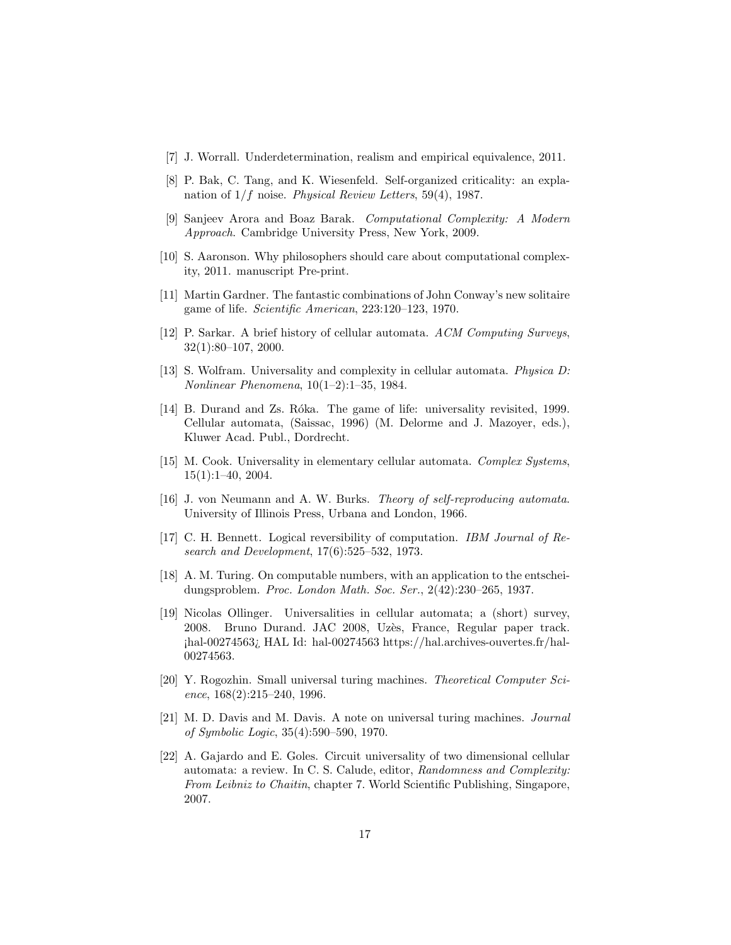- <span id="page-16-0"></span>[7] J. Worrall. Underdetermination, realism and empirical equivalence, 2011.
- <span id="page-16-1"></span>[8] P. Bak, C. Tang, and K. Wiesenfeld. Self-organized criticality: an explanation of  $1/f$  noise. Physical Review Letters, 59(4), 1987.
- <span id="page-16-2"></span>[9] Sanjeev Arora and Boaz Barak. Computational Complexity: A Modern Approach. Cambridge University Press, New York, 2009.
- <span id="page-16-3"></span>[10] S. Aaronson. Why philosophers should care about computational complexity, 2011. manuscript Pre-print.
- <span id="page-16-4"></span>[11] Martin Gardner. The fantastic combinations of John Conway's new solitaire game of life. Scientific American, 223:120–123, 1970.
- <span id="page-16-5"></span>[12] P. Sarkar. A brief history of cellular automata. ACM Computing Surveys, 32(1):80–107, 2000.
- <span id="page-16-6"></span>[13] S. Wolfram. Universality and complexity in cellular automata. Physica D: Nonlinear Phenomena, 10(1–2):1–35, 1984.
- <span id="page-16-7"></span>[14] B. Durand and Zs. Róka. The game of life: universality revisited, 1999. Cellular automata, (Saissac, 1996) (M. Delorme and J. Mazoyer, eds.), Kluwer Acad. Publ., Dordrecht.
- <span id="page-16-8"></span>[15] M. Cook. Universality in elementary cellular automata. Complex Systems,  $15(1):1-40, 2004.$
- <span id="page-16-9"></span>[16] J. von Neumann and A. W. Burks. Theory of self-reproducing automata. University of Illinois Press, Urbana and London, 1966.
- <span id="page-16-10"></span>[17] C. H. Bennett. Logical reversibility of computation. IBM Journal of Research and Development, 17(6):525–532, 1973.
- <span id="page-16-11"></span>[18] A. M. Turing. On computable numbers, with an application to the entscheidungsproblem. Proc. London Math. Soc. Ser., 2(42):230–265, 1937.
- <span id="page-16-12"></span>[19] Nicolas Ollinger. Universalities in cellular automata; a (short) survey, 2008. Bruno Durand. JAC 2008, Uzès, France, Regular paper track. ¡hal-00274563¿ HAL Id: hal-00274563 https://hal.archives-ouvertes.fr/hal-00274563.
- <span id="page-16-13"></span>[20] Y. Rogozhin. Small universal turing machines. Theoretical Computer Science, 168(2):215–240, 1996.
- <span id="page-16-14"></span>[21] M. D. Davis and M. Davis. A note on universal turing machines. Journal of Symbolic Logic, 35(4):590–590, 1970.
- <span id="page-16-15"></span>[22] A. Gajardo and E. Goles. Circuit universality of two dimensional cellular automata: a review. In C. S. Calude, editor, Randomness and Complexity: From Leibniz to Chaitin, chapter 7. World Scientific Publishing, Singapore, 2007.